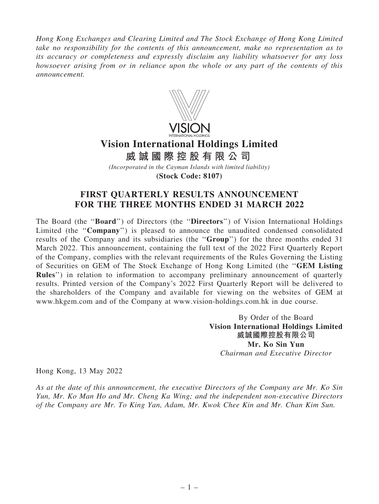Hong Kong Exchanges and Clearing Limited and The Stock Exchange of Hong Kong Limited take no responsibility for the contents of this announcement, make no representation as to its accuracy or completeness and expressly disclaim any liability whatsoever for any loss howsoever arising from or in reliance upon the whole or any part of the contents of this announcement.



# **Vision International Holdings Limited**

**威 誠 國 際 控 股 有 限 公 司**

*(Incorporated in the Cayman Islands with limited liability)* **(Stock Code: 8107)**

## FIRST QUARTERLY RESULTS ANNOUNCEMENT FOR THE THREE MONTHS ENDED 31 MARCH 2022

The Board (the "Board") of Directors (the "Directors") of Vision International Holdings Limited (the ''Company'') is pleased to announce the unaudited condensed consolidated results of the Company and its subsidiaries (the "Group") for the three months ended 31 March 2022. This announcement, containing the full text of the 2022 First Quarterly Report of the Company, complies with the relevant requirements of the Rules Governing the Listing of Securities on GEM of The Stock Exchange of Hong Kong Limited (the ''GEM Listing Rules") in relation to information to accompany preliminary announcement of quarterly results. Printed version of the Company's 2022 First Quarterly Report will be delivered to the shareholders of the Company and available for viewing on the websites of GEM at www.hkgem.com and of the Company at www.vision-holdings.com.hk in due course.

> By Order of the Board Vision International Holdings Limited 威誠國際控股有限公司 Mr. Ko Sin Yun Chairman and Executive Director

Hong Kong, 13 May 2022

As at the date of this announcement, the executive Directors of the Company are Mr. Ko Sin Yun, Mr. Ko Man Ho and Mr. Cheng Ka Wing; and the independent non-executive Directors of the Company are Mr. To King Yan, Adam, Mr. Kwok Chee Kin and Mr. Chan Kim Sun.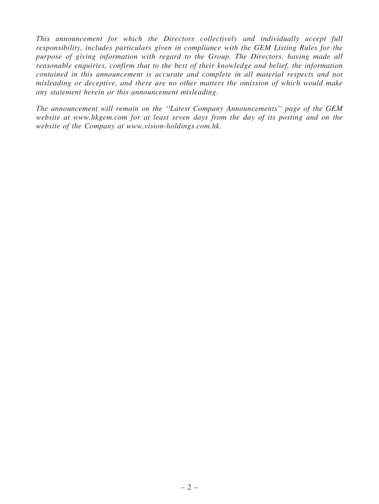This announcement for which the Directors collectively and individually accept full responsibility, includes particulars given in compliance with the GEM Listing Rules for the purpose of giving information with regard to the Group. The Directors, having made all reasonable enquiries, confirm that to the best of their knowledge and belief, the information contained in this announcement is accurate and complete in all material respects and not misleading or deceptive, and there are no other matters the omission of which would make any statement herein or this announcement misleading.

The announcement will remain on the ''Latest Company Announcements'' page of the GEM website at www.hkgem.com for at least seven days from the day of its posting and on the website of the Company at www.vision-holdings.com.hk.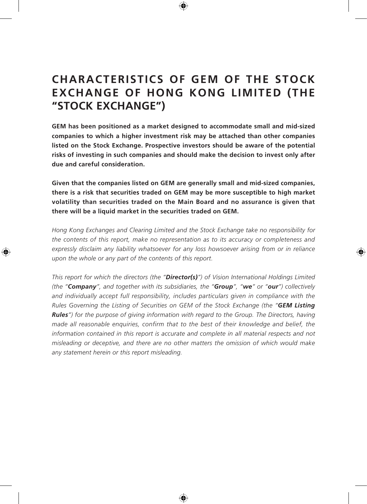# **CHARACTERISTICS OF GEM OF THE STOCK EXCHANGE OF HONG KONG LIMITED (THE "STOCK EXCHANGE")**

**GEM has been positioned as a market designed to accommodate small and mid-sized companies to which a higher investment risk may be attached than other companies listed on the Stock Exchange. Prospective investors should be aware of the potential risks of investing in such companies and should make the decision to invest only after due and careful consideration.**

**Given that the companies listed on GEM are generally small and mid-sized companies, there is a risk that securities traded on GEM may be more susceptible to high market volatility than securities traded on the Main Board and no assurance is given that there will be a liquid market in the securities traded on GEM.**

*Hong Kong Exchanges and Clearing Limited and the Stock Exchange take no responsibility for the contents of this report, make no representation as to its accuracy or completeness and expressly disclaim any liability whatsoever for any loss howsoever arising from or in reliance upon the whole or any part of the contents of this report.*

*This report for which the directors (the "Director(s)") of Vision International Holdings Limited (the "Company", and together with its subsidiaries, the "Group", "we" or "our") collectively and individually accept full responsibility, includes particulars given in compliance with the Rules Governing the Listing of Securities on GEM of the Stock Exchange (the "GEM Listing Rules") for the purpose of giving information with regard to the Group. The Directors, having made all reasonable enquiries, confirm that to the best of their knowledge and belief, the information contained in this report is accurate and complete in all material respects and not misleading or deceptive, and there are no other matters the omission of which would make any statement herein or this report misleading.*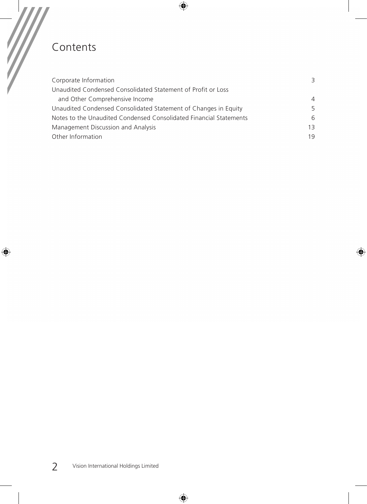# Contents

 $\overline{\phantom{a}}$ 

 $\overline{\phantom{a}}$ 

| Corporate Information                                              | 3              |
|--------------------------------------------------------------------|----------------|
| Unaudited Condensed Consolidated Statement of Profit or Loss       |                |
| and Other Comprehensive Income                                     | $\overline{4}$ |
| Unaudited Condensed Consolidated Statement of Changes in Equity    | 5              |
| Notes to the Unaudited Condensed Consolidated Financial Statements | 6              |
| Management Discussion and Analysis                                 | 13             |
| Other Information                                                  | 19             |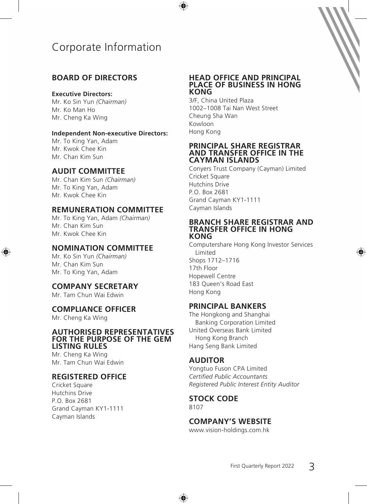# Corporate Information

## **BOARD OF DIRECTORS**

### **Executive Directors:**

Mr. Ko Sin Yun *(Chairman)* Mr. Ko Man Ho Mr. Cheng Ka Wing

### **Independent Non-executive Directors:**

Mr. To King Yan, Adam Mr. Kwok Chee Kin Mr. Chan Kim Sun

## **AUDIT COMMITTEE**

Mr. Chan Kim Sun *(Chairman)* Mr. To King Yan, Adam Mr. Kwok Chee Kin

## **REMUNERATION COMMITTEE**

Mr. To King Yan, Adam *(Chairman)* Mr. Chan Kim Sun Mr. Kwok Chee Kin

## **NOMINATION COMMITTEE**

Mr. Ko Sin Yun *(Chairman)* Mr. Chan Kim Sun Mr. To King Yan, Adam

## **COMPANY SECRETARY**

Mr. Tam Chun Wai Edwin

### **COMPLIANCE OFFICER**

Mr. Cheng Ka Wing

#### **AUTHORISED REPRESENTATIVES FOR THE PURPOSE OF THE GEM LISTING RULES**

Mr. Cheng Ka Wing Mr. Tam Chun Wai Edwin

## **REGISTERED OFFICE**

Cricket Square Hutchins Drive P.O. Box 2681 Grand Cayman KY1-1111 Cayman Islands

### **HEAD OFFICE AND PRINCIPAL PLACE OF BUSINESS IN HONG KONG**

3/F, China United Plaza 1002–1008 Tai Nan West Street Cheung Sha Wan Kowloon Hong Kong

#### **PRINCIPAL SHARE REGISTRAR AND TRANSFER OFFICE IN THE CAYMAN ISLANDS**

Conyers Trust Company (Cayman) Limited Cricket Square Hutchins Drive P.O. Box 2681 Grand Cayman KY1-1111 Cayman Islands

#### **BRANCH SHARE REGISTRAR AND TRANSFER OFFICE IN HONG KONG**

Computershare Hong Kong Investor Services Limited Shops 1712–1716 17th Floor Hopewell Centre 183 Queen's Road East Hong Kong

## **PRINCIPAL BANKERS**

The Hongkong and Shanghai Banking Corporation Limited United Overseas Bank Limited Hong Kong Branch Hang Seng Bank Limited

## **AUDITOR**

Yongtuo Fuson CPA Limited *Certified Public Accountants Registered Public Interest Entity Auditor*

#### **STOCK CODE** 8107

## **COMPANY'S WEBSITE**

www.vision-holdings.com.hk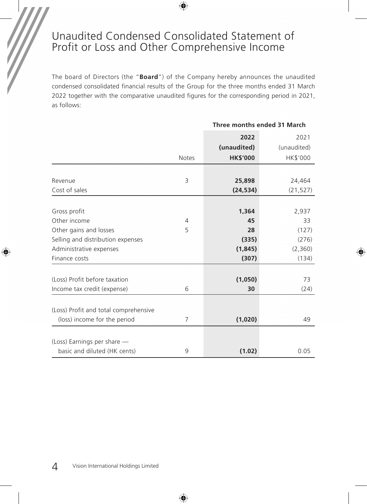## Unaudited Condensed Consolidated Statement of Profit or Loss and Other Comprehensive Income

The board of Directors (the "**Board**") of the Company hereby announces the unaudited condensed consolidated financial results of the Group for the three months ended 31 March 2022 together with the comparative unaudited figures for the corresponding period in 2021, as follows:

**Three months ended 31 March**

|                                       |                | THE FINDINIS ENGED 3 T MAILI |                     |
|---------------------------------------|----------------|------------------------------|---------------------|
|                                       |                | 2022<br>(unaudited)          | 2021<br>(unaudited) |
|                                       | <b>Notes</b>   | <b>HK\$'000</b>              | HK\$'000            |
|                                       |                |                              |                     |
| Revenue                               | 3              | 25,898                       | 24,464              |
| Cost of sales                         |                | (24, 534)                    | (21, 527)           |
|                                       |                |                              |                     |
| Gross profit                          |                | 1,364                        | 2,937               |
| Other income                          | $\overline{4}$ | 45                           | 33                  |
| Other gains and losses                | 5              | 28                           | (127)               |
| Selling and distribution expenses     |                | (335)                        | (276)               |
| Administrative expenses               |                | (1,845)                      | (2,360)             |
| Finance costs                         |                | (307)                        | (134)               |
| (Loss) Profit before taxation         |                | (1,050)                      | 73                  |
| Income tax credit (expense)           | 6              | 30                           | (24)                |
|                                       |                |                              |                     |
| (Loss) Profit and total comprehensive |                |                              |                     |
| (loss) income for the period          | 7              | (1,020)                      | 49                  |
|                                       |                |                              |                     |
| (Loss) Earnings per share -           |                |                              |                     |
| basic and diluted (HK cents)          | 9              | (1.02)                       | 0.05                |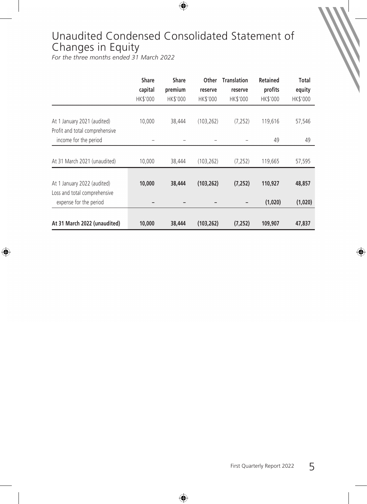# Unaudited Condensed Consolidated Statement of Changes in Equity

*For the three months ended 31 March 2022*

|                                                             | <b>Share</b>        | Share               | Other               | <b>Translation</b>  | Retained            | Total              |
|-------------------------------------------------------------|---------------------|---------------------|---------------------|---------------------|---------------------|--------------------|
|                                                             | capital<br>HK\$'000 | premium<br>HK\$'000 | reserve<br>HK\$'000 | reserve<br>HK\$'000 | profits<br>HK\$'000 | equity<br>HK\$'000 |
| At 1 January 2021 (audited)                                 | 10,000              | 38,444              | (103, 262)          | (7, 252)            | 119,616             | 57,546             |
| Profit and total comprehensive<br>income for the period     |                     |                     |                     |                     | 49                  | 49                 |
| At 31 March 2021 (unaudited)                                | 10,000              | 38,444              | (103, 262)          | (7, 252)            | 119,665             | 57,595             |
| At 1 January 2022 (audited)<br>Loss and total comprehensive | 10,000              | 38,444              | (103, 262)          | (7.252)             | 110,927             | 48,857             |
| expense for the period                                      |                     |                     |                     |                     | (1,020)             | (1,020)            |
| At 31 March 2022 (unaudited)                                | 10,000              | 38,444              | (103, 262)          | (7, 252)            | 109,907             | 47,837             |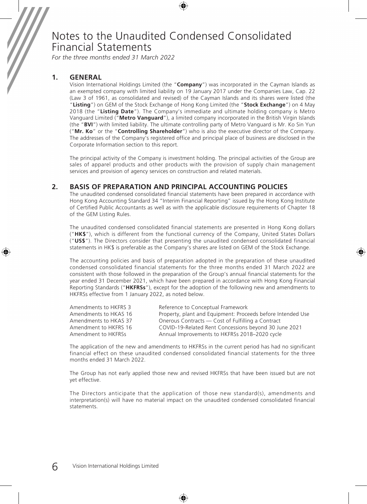*For the three months ended 31 March 2022*

### **1. GENERAL**

Vision International Holdings Limited (the "**Company**") was incorporated in the Cayman Islands as an exempted company with limited liability on 19 January 2017 under the Companies Law, Cap. 22 (Law 3 of 1961, as consolidated and revised) of the Cayman Islands and its shares were listed (the "**Listing**") on GEM of the Stock Exchange of Hong Kong Limited (the "**Stock Exchange**") on 4 May 2018 (the "**Listing Date**"). The Company's immediate and ultimate holding company is Metro Vanguard Limited ("**Metro Vanguard**"), a limited company incorporated in the British Virgin Islands (the "**BVI**") with limited liability. The ultimate controlling party of Metro Vanguard is Mr. Ko Sin Yun ("**Mr. Ko**" or the "**Controlling Shareholder**") who is also the executive director of the Company. The addresses of the Company's registered office and principal place of business are disclosed in the Corporate Information section to this report.

The principal activity of the Company is investment holding. The principal activities of the Group are sales of apparel products and other products with the provision of supply chain management services and provision of agency services on construction and related materials.

### **2. BASIS OF PREPARATION AND PRINCIPAL ACCOUNTING POLICIES**

The unaudited condensed consolidated financial statements have been prepared in accordance with Hong Kong Accounting Standard 34 "Interim Financial Reporting" issued by the Hong Kong Institute of Certified Public Accountants as well as with the applicable disclosure requirements of Chapter 18 of the GEM Listing Rules.

The unaudited condensed consolidated financial statements are presented in Hong Kong dollars ("**HK\$**"), which is different from the functional currency of the Company, United States Dollars ("**US\$**"). The Directors consider that presenting the unaudited condensed consolidated financial statements in HK\$ is preferable as the Company's shares are listed on GEM of the Stock Exchange.

The accounting policies and basis of preparation adopted in the preparation of these unaudited condensed consolidated financial statements for the three months ended 31 March 2022 are consistent with those followed in the preparation of the Group's annual financial statements for the year ended 31 December 2021, which have been prepared in accordance with Hong Kong Financial Reporting Standards ("**HKFRSs**"), except for the adoption of the following new and amendments to HKFRSs effective from 1 January 2022, as noted below.

| Amendments to HKFRS 3 | Reference to Conceptual Framework                           |
|-----------------------|-------------------------------------------------------------|
| Amendments to HKAS 16 | Property, plant and Equipment: Proceeds before Intended Use |
| Amendments to HKAS 37 | Onerous Contracts – Cost of Fulfilling a Contract           |
| Amendment to HKFRS 16 | COVID-19-Related Rent Concessions beyond 30 June 2021       |
| Amendment to HKFRSs   | Annual Improvements to HKFRSs 2018-2020 cycle               |

The application of the new and amendments to HKFRSs in the current period has had no significant financial effect on these unaudited condensed consolidated financial statements for the three months ended 31 March 2022.

The Group has not early applied those new and revised HKFRSs that have been issued but are not yet effective.

The Directors anticipate that the application of those new standard(s), amendments and interpretation(s) will have no material impact on the unaudited condensed consolidated financial statements.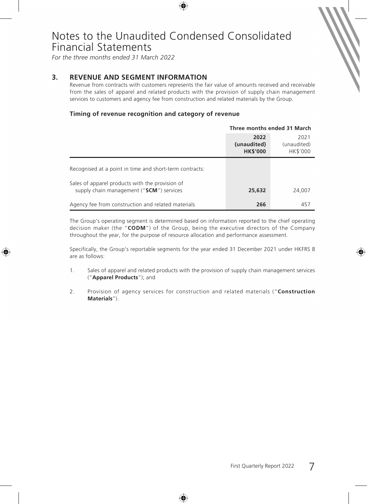*For the three months ended 31 March 2022*

### **3. REVENUE AND SEGMENT INFORMATION**

Revenue from contracts with customers represents the fair value of amounts received and receivable from the sales of apparel and related products with the provision of supply chain management services to customers and agency fee from construction and related materials by the Group.

### **Timing of revenue recognition and category of revenue**

|                                                                                             | Three months ended 31 March            |                                 |
|---------------------------------------------------------------------------------------------|----------------------------------------|---------------------------------|
|                                                                                             | 2022<br>(unaudited)<br><b>HK\$'000</b> | 2021<br>(unaudited)<br>HK\$'000 |
| Recognised at a point in time and short-term contracts:                                     |                                        |                                 |
| Sales of apparel products with the provision of<br>supply chain management ("SCM") services | 25,632                                 | 24,007                          |
| Agency fee from construction and related materials                                          | 266                                    | 457                             |

The Group's operating segment is determined based on information reported to the chief operating decision maker (the "**CODM**") of the Group, being the executive directors of the Company throughout the year, for the purpose of resource allocation and performance assessment.

Specifically, the Group's reportable segments for the year ended 31 December 2021 under HKFRS 8 are as follows:

- 1. Sales of apparel and related products with the provision of supply chain management services ("**Apparel Products**"); and
- 2. Provision of agency services for construction and related materials ("**Construction Materials**").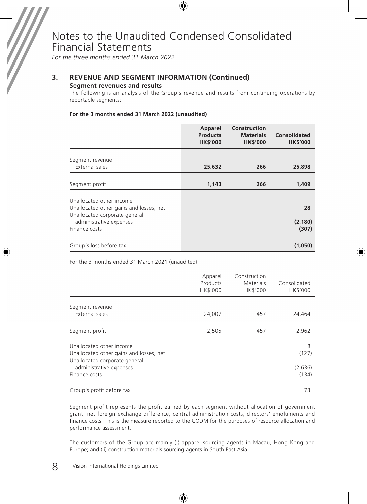*For the three months ended 31 March 2022*

## **3. REVENUE AND SEGMENT INFORMATION (Continued)**

#### **Segment revenues and results**

The following is an analysis of the Group's revenue and results from continuing operations by reportable segments:

#### **For the 3 months ended 31 March 2022 (unaudited)**

|                                                                                                      | Apparel<br><b>Products</b><br><b>HK\$'000</b> | Construction<br><b>Materials</b><br><b>HK\$'000</b> | Consolidated<br><b>HK\$'000</b> |
|------------------------------------------------------------------------------------------------------|-----------------------------------------------|-----------------------------------------------------|---------------------------------|
| Segment revenue<br>External sales                                                                    | 25,632                                        | 266                                                 | 25,898                          |
| Segment profit                                                                                       | 1,143                                         | 266                                                 | 1,409                           |
| Unallocated other income<br>Unallocated other gains and losses, net<br>Unallocated corporate general |                                               |                                                     | 28                              |
| administrative expenses<br>Finance costs                                                             |                                               |                                                     | (2, 180)<br>(307)               |
| Group's loss before tax                                                                              |                                               |                                                     | (1,050)                         |

For the 3 months ended 31 March 2021 (unaudited)

|                                                                           | Apparel<br>Products<br>HK\$'000 | Construction<br>Materials<br>HK\$'000 | Consolidated<br>HK\$'000 |
|---------------------------------------------------------------------------|---------------------------------|---------------------------------------|--------------------------|
| Segment revenue<br>External sales                                         | 24,007                          | 457                                   | 24,464                   |
|                                                                           |                                 |                                       |                          |
| Segment profit                                                            | 2,505                           | 457                                   | 2,962                    |
| Unallocated other income<br>Unallocated other gains and losses, net       |                                 |                                       | 8<br>(127)               |
| Unallocated corporate general<br>administrative expenses<br>Finance costs |                                 |                                       | (2,636)<br>(134)         |
|                                                                           |                                 |                                       |                          |
| Group's profit before tax                                                 |                                 |                                       | 73                       |

Segment profit represents the profit earned by each segment without allocation of government grant, net foreign exchange difference, central administration costs, directors' emoluments and finance costs. This is the measure reported to the CODM for the purposes of resource allocation and performance assessment.

The customers of the Group are mainly (i) apparel sourcing agents in Macau, Hong Kong and Europe; and (ii) construction materials sourcing agents in South East Asia.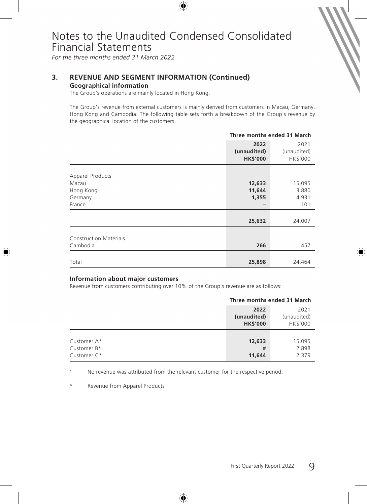*For the three months ended 31 March 2022*

## **3. REVENUE AND SEGMENT INFORMATION (Continued)**

### **Geographical information**

The Group's operations are mainly located in Hong Kong.

The Group's revenue from external customers is mainly derived from customers in Macau, Germany, Hong Kong and Cambodia. The following table sets forth a breakdown of the Group's revenue by the geographical location of the customers.

|                                                             | Three months ended 31 March            |                                 |
|-------------------------------------------------------------|----------------------------------------|---------------------------------|
|                                                             | 2022<br>(unaudited)<br><b>HK\$'000</b> | 2021<br>(unaudited)<br>HK\$'000 |
| Apparel Products<br>Macau<br>Hong Kong<br>Germany<br>France | 12,633<br>11,644<br>1,355              | 15,095<br>3,880<br>4,931<br>101 |
|                                                             | 25,632                                 | 24,007                          |
| <b>Construction Materials</b><br>Cambodia                   | 266                                    | 457                             |
| Total                                                       | 25,898                                 | 24,464                          |

#### **Information about major customers**

Revenue from customers contributing over 10% of the Group's revenue are as follows:

|                                           | Three months ended 31 March            |                                 |
|-------------------------------------------|----------------------------------------|---------------------------------|
|                                           | 2022<br>(unaudited)<br><b>HK\$'000</b> | 2021<br>(unaudited)<br>HK\$'000 |
| Customer A*<br>Customer B*<br>Customer C* | 12,633<br>#<br>11,644                  | 15,095<br>2,898<br>2,379        |

No revenue was attributed from the relevant customer for the respective period.

\* Revenue from Apparel Products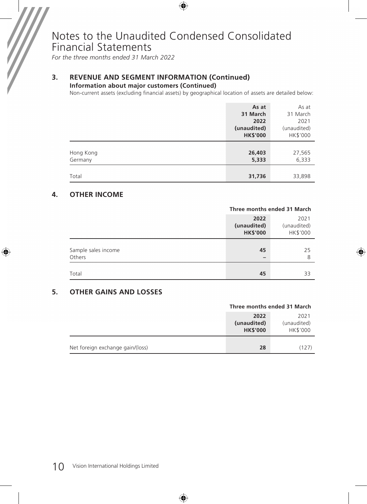*For the three months ended 31 March 2022*

## **3. REVENUE AND SEGMENT INFORMATION (Continued)**

**Information about major customers (Continued)**

Non-current assets (excluding financial assets) by geographical location of assets are detailed below:

|           | As at           | As at       |
|-----------|-----------------|-------------|
|           | 31 March        | 31 March    |
|           | 2022            | 2021        |
|           | (unaudited)     | (unaudited) |
|           | <b>HK\$'000</b> | HK\$'000    |
|           |                 |             |
| Hong Kong | 26,403          | 27,565      |
| Germany   | 5,333           | 6,333       |
|           |                 |             |
| Total     | 31,736          | 33,898      |

### **4. OTHER INCOME**

|                               | Three months ended 31 March            |                                 |
|-------------------------------|----------------------------------------|---------------------------------|
|                               | 2022<br>(unaudited)<br><b>HK\$'000</b> | 2021<br>(unaudited)<br>HK\$'000 |
| Sample sales income<br>Others | 45<br>$\overline{\phantom{0}}$         | 25<br>8                         |
| Total                         | 45                                     | 33                              |

### **5. OTHER GAINS AND LOSSES**

|                                  | Three months ended 31 March            |                                 |
|----------------------------------|----------------------------------------|---------------------------------|
|                                  | 2022<br>(unaudited)<br><b>HK\$'000</b> | 2021<br>(unaudited)<br>HK\$'000 |
| Net foreign exchange gain/(loss) | 28                                     | (127)                           |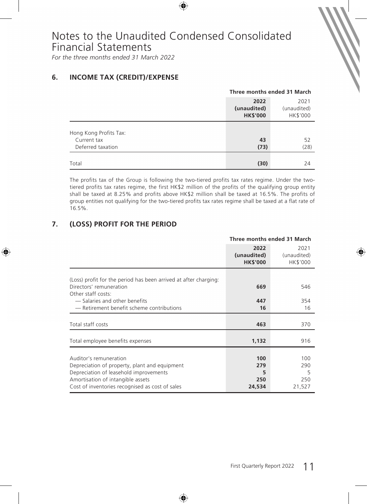*For the three months ended 31 March 2022*

## **6. INCOME TAX (CREDIT)/EXPENSE**

|                                                            | Three months ended 31 March            |                                 |
|------------------------------------------------------------|----------------------------------------|---------------------------------|
|                                                            | 2022<br>(unaudited)<br><b>HK\$'000</b> | 2021<br>(unaudited)<br>HK\$'000 |
| Hong Kong Profits Tax:<br>Current tax<br>Deferred taxation | 43<br>(73)                             | 52<br>(28)                      |
| Total                                                      | (30)                                   | 24                              |

The profits tax of the Group is following the two-tiered profits tax rates regime. Under the twotiered profits tax rates regime, the first HK\$2 million of the profits of the qualifying group entity shall be taxed at 8.25% and profits above HK\$2 million shall be taxed at 16.5%. The profits of group entities not qualifying for the two-tiered profits tax rates regime shall be taxed at a flat rate of 16.5%.

## **7. (LOSS) PROFIT FOR THE PERIOD**

|                                                                                                                                                                                                           | Three months ended 31 March            |                                  |
|-----------------------------------------------------------------------------------------------------------------------------------------------------------------------------------------------------------|----------------------------------------|----------------------------------|
|                                                                                                                                                                                                           | 2022<br>(unaudited)<br><b>HK\$'000</b> | 2021<br>(unaudited)<br>HK\$'000  |
| (Loss) profit for the period has been arrived at after charging:<br>Directors' remuneration<br>Other staff costs:                                                                                         | 669                                    | 546                              |
| - Salaries and other benefits<br>- Retirement benefit scheme contributions                                                                                                                                | 447<br>16                              | 354<br>16                        |
| Total staff costs                                                                                                                                                                                         | 463                                    | 370                              |
| Total employee benefits expenses                                                                                                                                                                          | 1,132                                  | 916                              |
| Auditor's remuneration<br>Depreciation of property, plant and equipment<br>Depreciation of leasehold improvements<br>Amortisation of intangible assets<br>Cost of inventories recognised as cost of sales | 100<br>279<br>5<br>250<br>24,534       | 100<br>290<br>5<br>250<br>21,527 |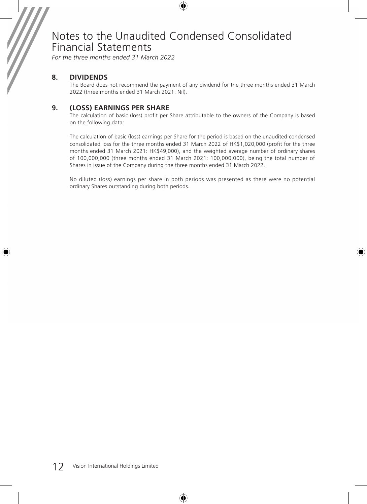*For the three months ended 31 March 2022*

### **8. DIVIDENDS**

The Board does not recommend the payment of any dividend for the three months ended 31 March 2022 (three months ended 31 March 2021: Nil).

### **9. (LOSS) EARNINGS PER SHARE**

The calculation of basic (loss) profit per Share attributable to the owners of the Company is based on the following data:

The calculation of basic (loss) earnings per Share for the period is based on the unaudited condensed consolidated loss for the three months ended 31 March 2022 of HK\$1,020,000 (profit for the three months ended 31 March 2021: HK\$49,000), and the weighted average number of ordinary shares of 100,000,000 (three months ended 31 March 2021: 100,000,000), being the total number of Shares in issue of the Company during the three months ended 31 March 2022.

No diluted (loss) earnings per share in both periods was presented as there were no potential ordinary Shares outstanding during both periods.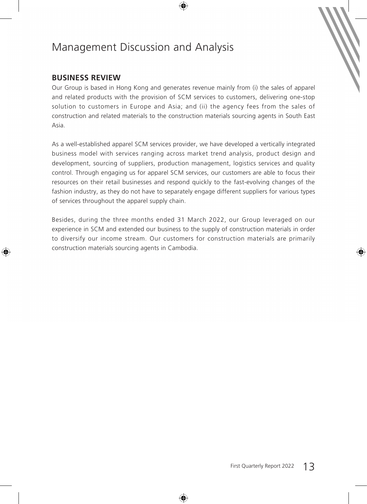## **BUSINESS REVIEW**

Our Group is based in Hong Kong and generates revenue mainly from (i) the sales of apparel and related products with the provision of SCM services to customers, delivering one-stop solution to customers in Europe and Asia; and (ii) the agency fees from the sales of construction and related materials to the construction materials sourcing agents in South East Asia.

As a well-established apparel SCM services provider, we have developed a vertically integrated business model with services ranging across market trend analysis, product design and development, sourcing of suppliers, production management, logistics services and quality control. Through engaging us for apparel SCM services, our customers are able to focus their resources on their retail businesses and respond quickly to the fast-evolving changes of the fashion industry, as they do not have to separately engage different suppliers for various types of services throughout the apparel supply chain.

Besides, during the three months ended 31 March 2022, our Group leveraged on our experience in SCM and extended our business to the supply of construction materials in order to diversify our income stream. Our customers for construction materials are primarily construction materials sourcing agents in Cambodia.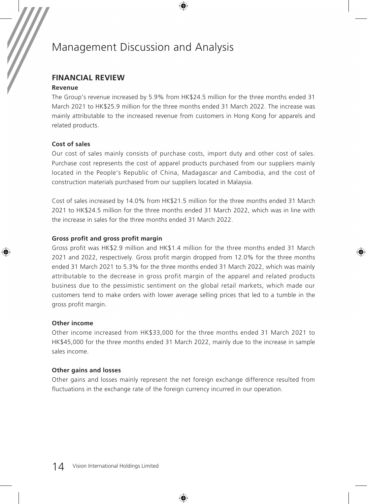## **FINANCIAL REVIEW**

### **Revenue**

The Group's revenue increased by 5.9% from HK\$24.5 million for the three months ended 31 March 2021 to HK\$25.9 million for the three months ended 31 March 2022. The increase was mainly attributable to the increased revenue from customers in Hong Kong for apparels and related products.

### **Cost of sales**

Our cost of sales mainly consists of purchase costs, import duty and other cost of sales. Purchase cost represents the cost of apparel products purchased from our suppliers mainly located in the People's Republic of China, Madagascar and Cambodia, and the cost of construction materials purchased from our suppliers located in Malaysia.

Cost of sales increased by 14.0% from HK\$21.5 million for the three months ended 31 March 2021 to HK\$24.5 million for the three months ended 31 March 2022, which was in line with the increase in sales for the three months ended 31 March 2022.

### **Gross profit and gross profit margin**

Gross profit was HK\$2.9 million and HK\$1.4 million for the three months ended 31 March 2021 and 2022, respectively. Gross profit margin dropped from 12.0% for the three months ended 31 March 2021 to 5.3% for the three months ended 31 March 2022, which was mainly attributable to the decrease in gross profit margin of the apparel and related products business due to the pessimistic sentiment on the global retail markets, which made our customers tend to make orders with lower average selling prices that led to a tumble in the gross profit margin.

### **Other income**

Other income increased from HK\$33,000 for the three months ended 31 March 2021 to HK\$45,000 for the three months ended 31 March 2022, mainly due to the increase in sample sales income.

### **Other gains and losses**

Other gains and losses mainly represent the net foreign exchange difference resulted from fluctuations in the exchange rate of the foreign currency incurred in our operation.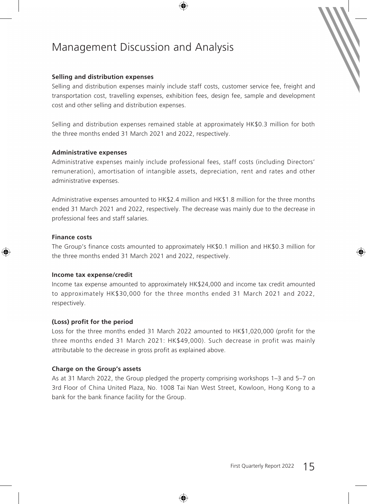#### **Selling and distribution expenses**

Selling and distribution expenses mainly include staff costs, customer service fee, freight and transportation cost, travelling expenses, exhibition fees, design fee, sample and development cost and other selling and distribution expenses.

Selling and distribution expenses remained stable at approximately HK\$0.3 million for both the three months ended 31 March 2021 and 2022, respectively.

#### **Administrative expenses**

Administrative expenses mainly include professional fees, staff costs (including Directors' remuneration), amortisation of intangible assets, depreciation, rent and rates and other administrative expenses.

Administrative expenses amounted to HK\$2.4 million and HK\$1.8 million for the three months ended 31 March 2021 and 2022, respectively. The decrease was mainly due to the decrease in professional fees and staff salaries.

### **Finance costs**

The Group's finance costs amounted to approximately HK\$0.1 million and HK\$0.3 million for the three months ended 31 March 2021 and 2022, respectively.

#### **Income tax expense/credit**

Income tax expense amounted to approximately HK\$24,000 and income tax credit amounted to approximately HK\$30,000 for the three months ended 31 March 2021 and 2022, respectively.

### **(Loss) profit for the period**

Loss for the three months ended 31 March 2022 amounted to HK\$1,020,000 (profit for the three months ended 31 March 2021: HK\$49,000). Such decrease in profit was mainly attributable to the decrease in gross profit as explained above.

### **Charge on the Group's assets**

As at 31 March 2022, the Group pledged the property comprising workshops 1–3 and 5–7 on 3rd Floor of China United Plaza, No. 1008 Tai Nan West Street, Kowloon, Hong Kong to a bank for the bank finance facility for the Group.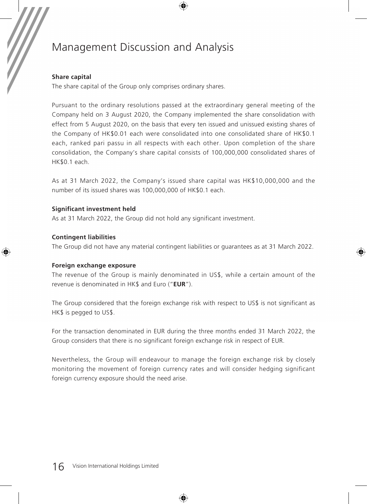### **Share capital**

The share capital of the Group only comprises ordinary shares.

Pursuant to the ordinary resolutions passed at the extraordinary general meeting of the Company held on 3 August 2020, the Company implemented the share consolidation with effect from 5 August 2020, on the basis that every ten issued and unissued existing shares of the Company of HK\$0.01 each were consolidated into one consolidated share of HK\$0.1 each, ranked pari passu in all respects with each other. Upon completion of the share consolidation, the Company's share capital consists of 100,000,000 consolidated shares of HK\$0.1 each.

As at 31 March 2022, the Company's issued share capital was HK\$10,000,000 and the number of its issued shares was 100,000,000 of HK\$0.1 each.

### **Significant investment held**

As at 31 March 2022, the Group did not hold any significant investment.

### **Contingent liabilities**

The Group did not have any material contingent liabilities or guarantees as at 31 March 2022.

#### **Foreign exchange exposure**

The revenue of the Group is mainly denominated in US\$, while a certain amount of the revenue is denominated in HK\$ and Euro ("**EUR**").

The Group considered that the foreign exchange risk with respect to US\$ is not significant as HK\$ is pegged to US\$.

For the transaction denominated in EUR during the three months ended 31 March 2022, the Group considers that there is no significant foreign exchange risk in respect of EUR.

Nevertheless, the Group will endeavour to manage the foreign exchange risk by closely monitoring the movement of foreign currency rates and will consider hedging significant foreign currency exposure should the need arise.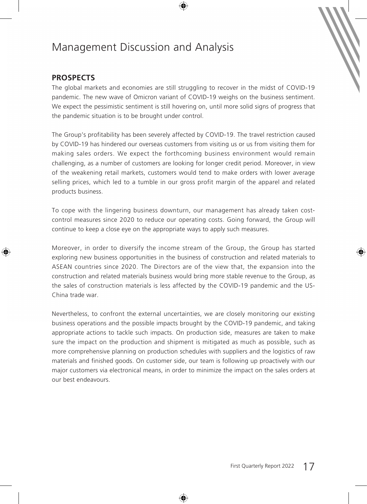## **PROSPECTS**

The global markets and economies are still struggling to recover in the midst of COVID-19 pandemic. The new wave of Omicron variant of COVID-19 weighs on the business sentiment. We expect the pessimistic sentiment is still hovering on, until more solid signs of progress that the pandemic situation is to be brought under control.

The Group's profitability has been severely affected by COVID-19. The travel restriction caused by COVID-19 has hindered our overseas customers from visiting us or us from visiting them for making sales orders. We expect the forthcoming business environment would remain challenging, as a number of customers are looking for longer credit period. Moreover, in view of the weakening retail markets, customers would tend to make orders with lower average selling prices, which led to a tumble in our gross profit margin of the apparel and related products business.

To cope with the lingering business downturn, our management has already taken costcontrol measures since 2020 to reduce our operating costs. Going forward, the Group will continue to keep a close eye on the appropriate ways to apply such measures.

Moreover, in order to diversify the income stream of the Group, the Group has started exploring new business opportunities in the business of construction and related materials to ASEAN countries since 2020. The Directors are of the view that, the expansion into the construction and related materials business would bring more stable revenue to the Group, as the sales of construction materials is less affected by the COVID-19 pandemic and the US-China trade war.

Nevertheless, to confront the external uncertainties, we are closely monitoring our existing business operations and the possible impacts brought by the COVID-19 pandemic, and taking appropriate actions to tackle such impacts. On production side, measures are taken to make sure the impact on the production and shipment is mitigated as much as possible, such as more comprehensive planning on production schedules with suppliers and the logistics of raw materials and finished goods. On customer side, our team is following up proactively with our major customers via electronical means, in order to minimize the impact on the sales orders at our best endeavours.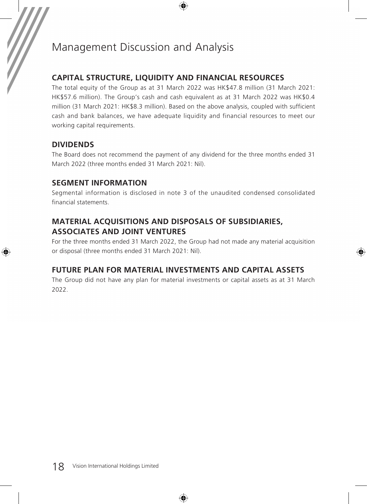## **CAPITAL STRUCTURE, LIQUIDITY AND FINANCIAL RESOURCES**

The total equity of the Group as at 31 March 2022 was HK\$47.8 million (31 March 2021: HK\$57.6 million). The Group's cash and cash equivalent as at 31 March 2022 was HK\$0.4 million (31 March 2021: HK\$8.3 million). Based on the above analysis, coupled with sufficient cash and bank balances, we have adequate liquidity and financial resources to meet our working capital requirements.

## **DIVIDENDS**

The Board does not recommend the payment of any dividend for the three months ended 31 March 2022 (three months ended 31 March 2021: Nil).

## **SEGMENT INFORMATION**

Segmental information is disclosed in note 3 of the unaudited condensed consolidated financial statements.

## **MATERIAL ACQUISITIONS AND DISPOSALS OF SUBSIDIARIES, ASSOCIATES AND JOINT VENTURES**

For the three months ended 31 March 2022, the Group had not made any material acquisition or disposal (three months ended 31 March 2021: Nil).

## **FUTURE PLAN FOR MATERIAL INVESTMENTS AND CAPITAL ASSETS**

The Group did not have any plan for material investments or capital assets as at 31 March 2022.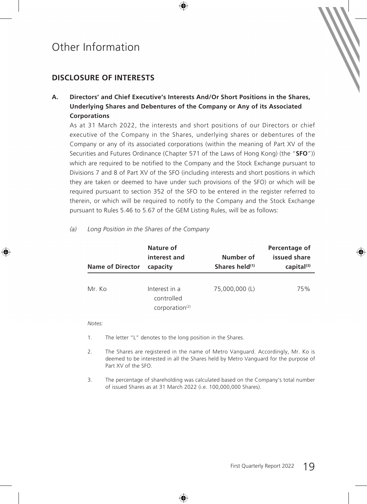## **DISCLOSURE OF INTERESTS**

**A. Directors' and Chief Executive's Interests And/Or Short Positions in the Shares, Underlying Shares and Debentures of the Company or Any of its Associated Corporations**

As at 31 March 2022, the interests and short positions of our Directors or chief executive of the Company in the Shares, underlying shares or debentures of the Company or any of its associated corporations (within the meaning of Part XV of the Securities and Futures Ordinance (Chapter 571 of the Laws of Hong Kong) (the "**SFO**")) which are required to be notified to the Company and the Stock Exchange pursuant to Divisions 7 and 8 of Part XV of the SFO (including interests and short positions in which they are taken or deemed to have under such provisions of the SFO) or which will be required pursuant to section 352 of the SFO to be entered in the register referred to therein, or which will be required to notify to the Company and the Stock Exchange pursuant to Rules 5.46 to 5.67 of the GEM Listing Rules, will be as follows:

| <b>Name of Director</b> | Nature of<br>interest and<br>capacity            | Number of<br>Shares held <sup>(1)</sup> | Percentage of<br>issued share<br>$capital^{(3)}$ |
|-------------------------|--------------------------------------------------|-----------------------------------------|--------------------------------------------------|
| Mr. Ko                  | Interest in a<br>controlled<br>corporation $(2)$ | 75,000,000 (L)                          | 75%                                              |

*(a) Long Position in the Shares of the Company*

*Notes:*

- 1. The letter "L" denotes to the long position in the Shares.
- 2. The Shares are registered in the name of Metro Vanguard. Accordingly, Mr. Ko is deemed to be interested in all the Shares held by Metro Vanguard for the purpose of Part XV of the SFO.
- 3. The percentage of shareholding was calculated based on the Company's total number of issued Shares as at 31 March 2022 (i.e. 100,000,000 Shares).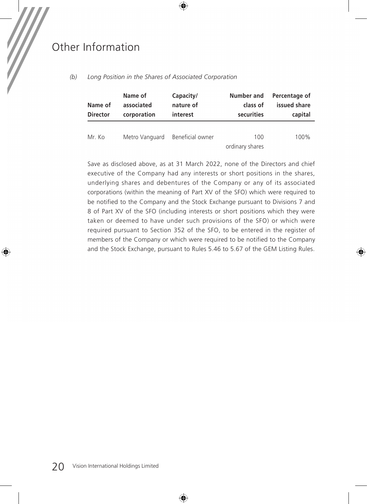| Name of<br><b>Director</b> | Name of<br>associated<br>corporation | Capacity/<br>nature of<br>interest | Number and<br>class of<br>securities | Percentage of<br>issued share<br>capital |
|----------------------------|--------------------------------------|------------------------------------|--------------------------------------|------------------------------------------|
| Mr. Ko                     | Metro Vanguard                       | Beneficial owner                   | 100<br>ordinary shares               | 100%                                     |

*(b) Long Position in the Shares of Associated Corporation*

Save as disclosed above, as at 31 March 2022, none of the Directors and chief executive of the Company had any interests or short positions in the shares, underlying shares and debentures of the Company or any of its associated corporations (within the meaning of Part XV of the SFO) which were required to be notified to the Company and the Stock Exchange pursuant to Divisions 7 and 8 of Part XV of the SFO (including interests or short positions which they were taken or deemed to have under such provisions of the SFO) or which were required pursuant to Section 352 of the SFO, to be entered in the register of members of the Company or which were required to be notified to the Company and the Stock Exchange, pursuant to Rules 5.46 to 5.67 of the GEM Listing Rules.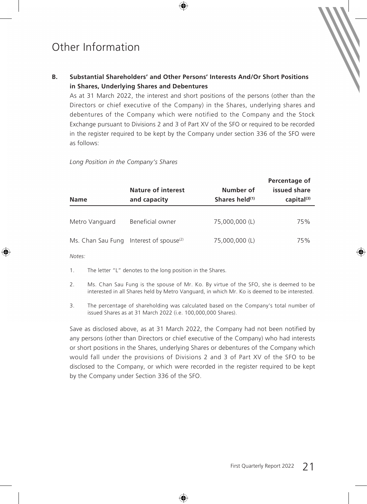## **B. Substantial Shareholders' and Other Persons' Interests And/Or Short Positions in Shares, Underlying Shares and Debentures**

As at 31 March 2022, the interest and short positions of the persons (other than the Directors or chief executive of the Company) in the Shares, underlying shares and debentures of the Company which were notified to the Company and the Stock Exchange pursuant to Divisions 2 and 3 of Part XV of the SFO or required to be recorded in the register required to be kept by the Company under section 336 of the SFO were as follows:

*Long Position in the Company's Shares*

| <b>Name</b>       | Nature of interest<br>and capacity | Number of<br>Shares held <sup>(1)</sup> | Percentage of<br>issued share<br>$capital^{(3)}$ |
|-------------------|------------------------------------|-----------------------------------------|--------------------------------------------------|
| Metro Vanguard    | Beneficial owner                   | 75,000,000 (L)                          | 75%                                              |
| Ms. Chan Sau Fung | Interest of spouse <sup>(2)</sup>  | 75,000,000 (L)                          | 75%                                              |

*Notes:*

- 1. The letter "L" denotes to the long position in the Shares.
- 2. Ms. Chan Sau Fung is the spouse of Mr. Ko. By virtue of the SFO, she is deemed to be interested in all Shares held by Metro Vanguard, in which Mr. Ko is deemed to be interested.
- 3. The percentage of shareholding was calculated based on the Company's total number of issued Shares as at 31 March 2022 (i.e. 100,000,000 Shares).

Save as disclosed above, as at 31 March 2022, the Company had not been notified by any persons (other than Directors or chief executive of the Company) who had interests or short positions in the Shares, underlying Shares or debentures of the Company which would fall under the provisions of Divisions 2 and 3 of Part XV of the SFO to be disclosed to the Company, or which were recorded in the register required to be kept by the Company under Section 336 of the SFO.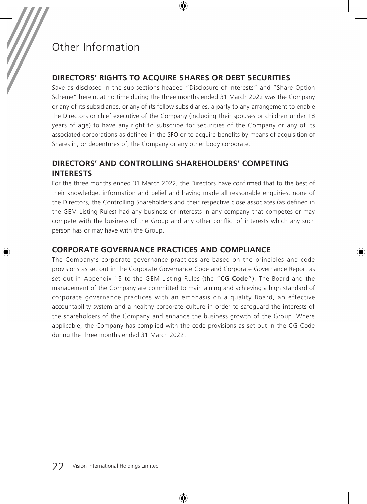## **DIRECTORS' RIGHTS TO ACQUIRE SHARES OR DEBT SECURITIES**

Save as disclosed in the sub-sections headed "Disclosure of Interests" and "Share Option Scheme" herein, at no time during the three months ended 31 March 2022 was the Company or any of its subsidiaries, or any of its fellow subsidiaries, a party to any arrangement to enable the Directors or chief executive of the Company (including their spouses or children under 18 years of age) to have any right to subscribe for securities of the Company or any of its associated corporations as defined in the SFO or to acquire benefits by means of acquisition of Shares in, or debentures of, the Company or any other body corporate.

## **DIRECTORS' AND CONTROLLING SHAREHOLDERS' COMPETING INTERESTS**

For the three months ended 31 March 2022, the Directors have confirmed that to the best of their knowledge, information and belief and having made all reasonable enquiries, none of the Directors, the Controlling Shareholders and their respective close associates (as defined in the GEM Listing Rules) had any business or interests in any company that competes or may compete with the business of the Group and any other conflict of interests which any such person has or may have with the Group.

## **CORPORATE GOVERNANCE PRACTICES AND COMPLIANCE**

The Company's corporate governance practices are based on the principles and code provisions as set out in the Corporate Governance Code and Corporate Governance Report as set out in Appendix 15 to the GEM Listing Rules (the "**CG Code**"). The Board and the management of the Company are committed to maintaining and achieving a high standard of corporate governance practices with an emphasis on a quality Board, an effective accountability system and a healthy corporate culture in order to safeguard the interests of the shareholders of the Company and enhance the business growth of the Group. Where applicable, the Company has complied with the code provisions as set out in the CG Code during the three months ended 31 March 2022.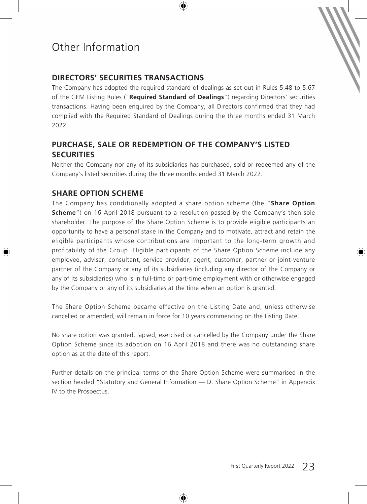## **DIRECTORS' SECURITIES TRANSACTIONS**

The Company has adopted the required standard of dealings as set out in Rules 5.48 to 5.67 of the GEM Listing Rules ("**Required Standard of Dealings**") regarding Directors' securities transactions. Having been enquired by the Company, all Directors confirmed that they had complied with the Required Standard of Dealings during the three months ended 31 March 2022.

## **PURCHASE, SALE OR REDEMPTION OF THE COMPANY'S LISTED SECURITIES**

Neither the Company nor any of its subsidiaries has purchased, sold or redeemed any of the Company's listed securities during the three months ended 31 March 2022.

## **SHARE OPTION SCHEME**

The Company has conditionally adopted a share option scheme (the "**Share Option Scheme**") on 16 April 2018 pursuant to a resolution passed by the Company's then sole shareholder. The purpose of the Share Option Scheme is to provide eligible participants an opportunity to have a personal stake in the Company and to motivate, attract and retain the eligible participants whose contributions are important to the long-term growth and profitability of the Group. Eligible participants of the Share Option Scheme include any employee, adviser, consultant, service provider, agent, customer, partner or joint-venture partner of the Company or any of its subsidiaries (including any director of the Company or any of its subsidiaries) who is in full-time or part-time employment with or otherwise engaged by the Company or any of its subsidiaries at the time when an option is granted.

The Share Option Scheme became effective on the Listing Date and, unless otherwise cancelled or amended, will remain in force for 10 years commencing on the Listing Date.

No share option was granted, lapsed, exercised or cancelled by the Company under the Share Option Scheme since its adoption on 16 April 2018 and there was no outstanding share option as at the date of this report.

Further details on the principal terms of the Share Option Scheme were summarised in the section headed "Statutory and General Information — D. Share Option Scheme" in Appendix IV to the Prospectus.